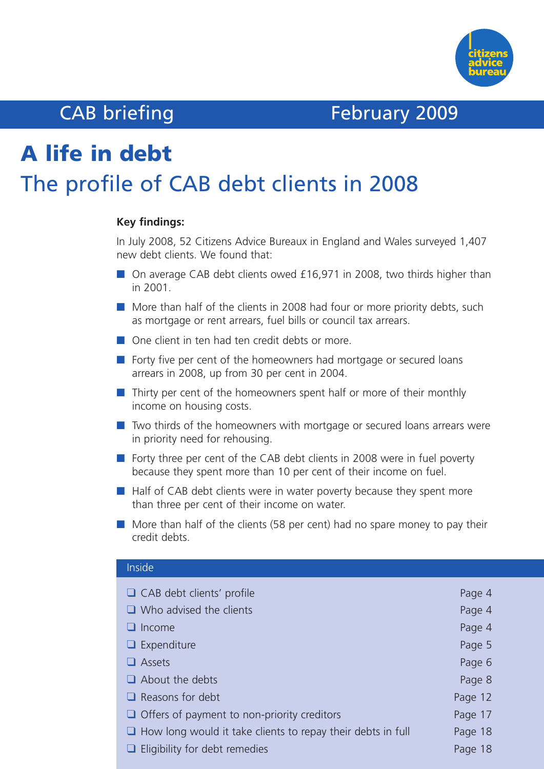

# CAB briefing February 2009

# **A life in debt** The profile of CAB debt clients in 2008

#### **Key findings:**

In July 2008, 52 Citizens Advice Bureaux in England and Wales surveyed 1,407 new debt clients. We found that:

- On average CAB debt clients owed £16,971 in 2008, two thirds higher than in 2001.
- More than half of the clients in 2008 had four or more priority debts, such as mortgage or rent arrears, fuel bills or council tax arrears.
- One client in ten had ten credit debts or more.
- Forty five per cent of the homeowners had mortgage or secured loans arrears in 2008, up from 30 per cent in 2004.
- Thirty per cent of the homeowners spent half or more of their monthly income on housing costs.
- Two thirds of the homeowners with mortgage or secured loans arrears were in priority need for rehousing.
- Forty three per cent of the CAB debt clients in 2008 were in fuel poverty because they spent more than 10 per cent of their income on fuel.
- Half of CAB debt clients were in water poverty because they spent more than three per cent of their income on water.
- More than half of the clients (58 per cent) had no spare money to pay their credit debts.

| Page 4  |
|---------|
| Page 4  |
| Page 4  |
| Page 5  |
| Page 6  |
| Page 8  |
| Page 12 |
| Page 17 |
| Page 18 |
| Page 18 |
|         |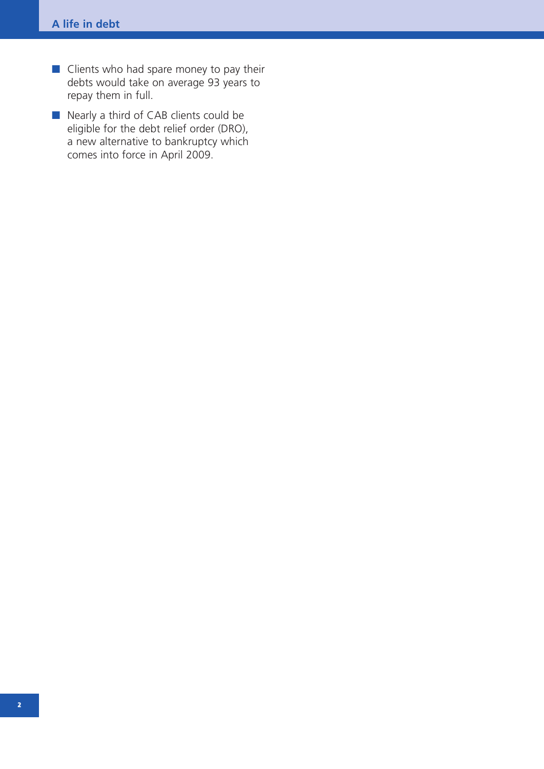- Clients who had spare money to pay their debts would take on average 93 years to repay them in full.
- Nearly a third of CAB clients could be eligible for the debt relief order (DRO), a new alternative to bankruptcy which comes into force in April 2009.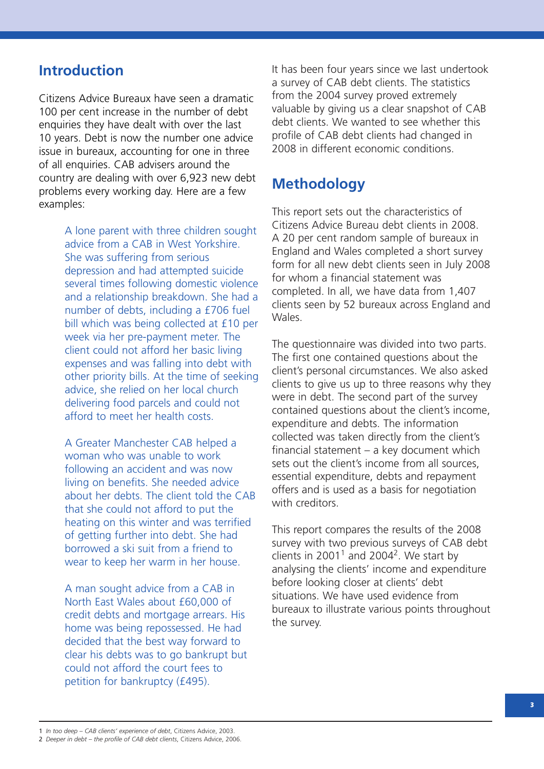### **Introduction**

Citizens Advice Bureaux have seen a dramatic 100 per cent increase in the number of debt enquiries they have dealt with over the last 10 years. Debt is now the number one advice issue in bureaux, accounting for one in three of all enquiries. CAB advisers around the country are dealing with over 6,923 new debt problems every working day. Here are a few examples:

> A lone parent with three children sought advice from a CAB in West Yorkshire. She was suffering from serious depression and had attempted suicide several times following domestic violence and a relationship breakdown. She had a number of debts, including a £706 fuel bill which was being collected at £10 per week via her pre-payment meter. The client could not afford her basic living expenses and was falling into debt with other priority bills. At the time of seeking advice, she relied on her local church delivering food parcels and could not afford to meet her health costs.

A Greater Manchester CAB helped a woman who was unable to work following an accident and was now living on benefits. She needed advice about her debts. The client told the CAB that she could not afford to put the heating on this winter and was terrified of getting further into debt. She had borrowed a ski suit from a friend to wear to keep her warm in her house.

A man sought advice from a CAB in North East Wales about £60,000 of credit debts and mortgage arrears. His home was being repossessed. He had decided that the best way forward to clear his debts was to go bankrupt but could not afford the court fees to petition for bankruptcy (£495).

It has been four years since we last undertook a survey of CAB debt clients. The statistics from the 2004 survey proved extremely valuable by giving us a clear snapshot of CAB debt clients. We wanted to see whether this profile of CAB debt clients had changed in 2008 in different economic conditions.

### **Methodology**

This report sets out the characteristics of Citizens Advice Bureau debt clients in 2008. A 20 per cent random sample of bureaux in England and Wales completed a short survey form for all new debt clients seen in July 2008 for whom a financial statement was completed. In all, we have data from 1,407 clients seen by 52 bureaux across England and Wales.

The questionnaire was divided into two parts. The first one contained questions about the client's personal circumstances. We also asked clients to give us up to three reasons why they were in debt. The second part of the survey contained questions about the client's income, expenditure and debts. The information collected was taken directly from the client's financial statement – a key document which sets out the client's income from all sources, essential expenditure, debts and repayment offers and is used as a basis for negotiation with creditors

This report compares the results of the 2008 survey with two previous surveys of CAB debt clients in 2001<sup>1</sup> and 2004<sup>2</sup>. We start by analysing the clients' income and expenditure before looking closer at clients' debt situations. We have used evidence from bureaux to illustrate various points throughout the survey.

1 *In too deep – CAB clients' experience of debt*, Citizens Advice, 2003.

2 *Deeper in debt – the profile of CAB debt clients*, Citizens Advice, 2006.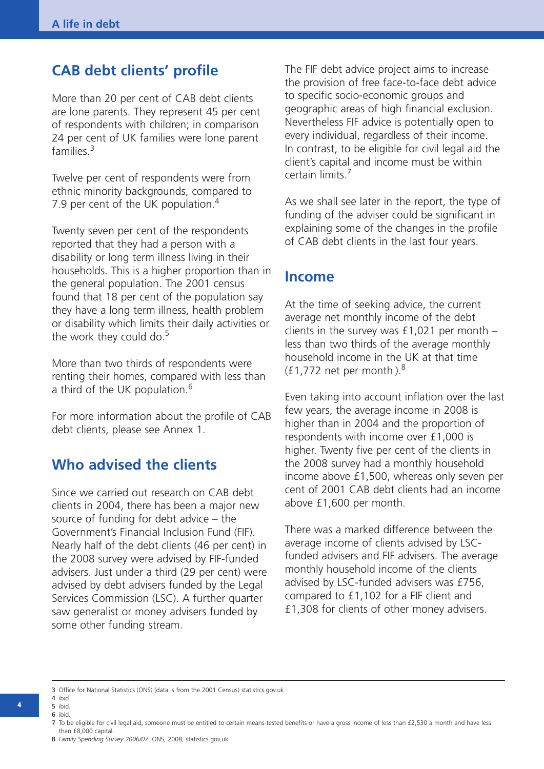### **CAB debt clients' profile**

More than 20 per cent of CAB debt clients are lone parents. They represent 45 per cent of respondents with children; in comparison 24 per cent of UK families were lone parent families. 3

Twelve per cent of respondents were from ethnic minority backgrounds, compared to 7.9 per cent of the UK population.<sup>4</sup>

Twenty seven per cent of the respondents reported that they had a person with a disability or long term illness living in their households. This is a higher proportion than in the general population. The 2001 census found that 18 per cent of the population say they have a long term illness, health problem or disability which limits their daily activities or the work they could do.<sup>5</sup>

More than two thirds of respondents were renting their homes, compared with less than a third of the UK population.<sup>6</sup>

For more information about the profile of CAB debt clients, please see Annex 1.

### **Who advised the clients**

Since we carried out research on CAB debt clients in 2004, there has been a major new source of funding for debt advice – the Government's Financial Inclusion Fund (FIF). Nearly half of the debt clients (46 per cent) in the 2008 survey were advised by FIF-funded advisers. Just under a third (29 per cent) were advised by debt advisers funded by the Legal Services Commission (LSC). A further quarter saw generalist or money advisers funded by some other funding stream.

The FIF debt advice project aims to increase the provision of free face-to-face debt advice to specific socio-economic groups and geographic areas of high financial exclusion. Nevertheless FIF advice is potentially open to every individual, regardless of their income. In contrast, to be eligible for civil legal aid the client's capital and income must be within certain limits. 7

As we shall see later in the report, the type of funding of the adviser could be significant in explaining some of the changes in the profile of CAB debt clients in the last four years.

### **Income**

At the time of seeking advice, the current average net monthly income of the debt clients in the survey was  $£1,021$  per month – less than two thirds of the average monthly household income in the UK at that time  $(f1,772$  net per month).<sup>8</sup>

Even taking into account inflation over the last few years, the average income in 2008 is higher than in 2004 and the proportion of respondents with income over £1,000 is higher. Twenty five per cent of the clients in the 2008 survey had a monthly household income above £1,500, whereas only seven per cent of 2001 CAB debt clients had an income above £1,600 per month.

There was a marked difference between the average income of clients advised by LSCfunded advisers and FIF advisers. The average monthly household income of the clients advised by LSC-funded advisers was £756, compared to £1,102 for a FIF client and £1,308 for clients of other money advisers.

3 Office for National Statistics (ONS) (data is from the 2001 Census) statistics.gov.uk 4 ibid.

- 5 ibid.
- 6 ibid.

**4**

<sup>7</sup> To be eligible for civil legal aid, someone must be entitled to certain means-tested benefits or have a gross income of less than £2,530 a month and have less than £8,000 capital.

<sup>8</sup> *Family Spending Survey 2006/07*, ONS, 2008, statistics.gov.uk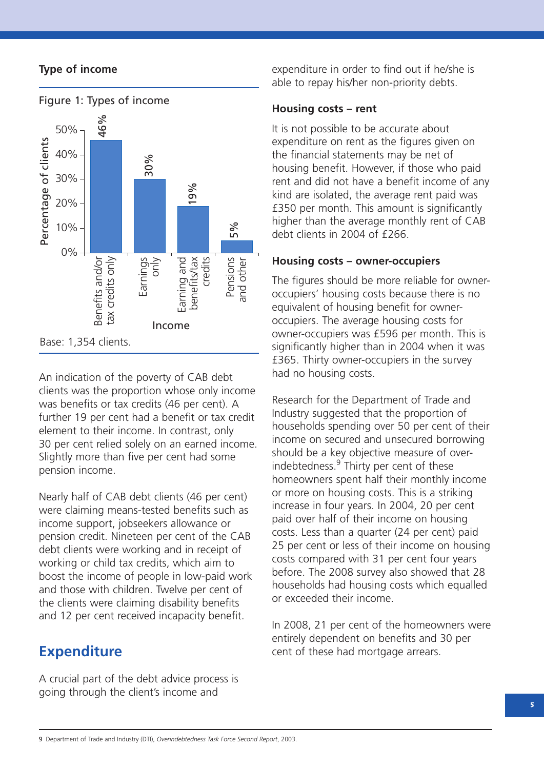#### **Type of income**



An indication of the poverty of CAB debt clients was the proportion whose only income was benefits or tax credits (46 per cent). A further 19 per cent had a benefit or tax credit element to their income. In contrast, only 30 per cent relied solely on an earned income. Slightly more than five per cent had some pension income.

Nearly half of CAB debt clients (46 per cent) were claiming means-tested benefits such as income support, jobseekers allowance or pension credit. Nineteen per cent of the CAB debt clients were working and in receipt of working or child tax credits, which aim to boost the income of people in low-paid work and those with children. Twelve per cent of the clients were claiming disability benefits and 12 per cent received incapacity benefit.

### **Expenditure**

A crucial part of the debt advice process is going through the client's income and

expenditure in order to find out if he/she is able to repay his/her non-priority debts.

#### **Housing costs – rent**

It is not possible to be accurate about expenditure on rent as the figures given on the financial statements may be net of housing benefit. However, if those who paid rent and did not have a benefit income of any kind are isolated, the average rent paid was £350 per month. This amount is significantly higher than the average monthly rent of CAB debt clients in 2004 of £266.

#### **Housing costs – owner-occupiers**

The figures should be more reliable for owneroccupiers' housing costs because there is no equivalent of housing benefit for owneroccupiers. The average housing costs for owner-occupiers was £596 per month. This is significantly higher than in 2004 when it was £365. Thirty owner-occupiers in the survey had no housing costs.

Research for the Department of Trade and Industry suggested that the proportion of households spending over 50 per cent of their income on secured and unsecured borrowing should be a key objective measure of overindebtedness. <sup>9</sup> Thirty per cent of these homeowners spent half their monthly income or more on housing costs. This is a striking increase in four years. In 2004, 20 per cent paid over half of their income on housing costs. Less than a quarter (24 per cent) paid 25 per cent or less of their income on housing costs compared with 31 per cent four years before. The 2008 survey also showed that 28 households had housing costs which equalled or exceeded their income.

In 2008, 21 per cent of the homeowners were entirely dependent on benefits and 30 per cent of these had mortgage arrears.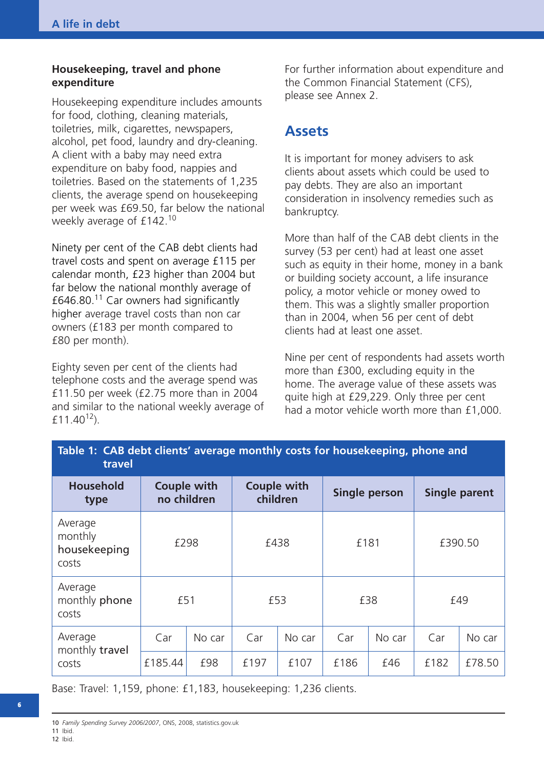#### **Housekeeping, travel and phone expenditure**

Housekeeping expenditure includes amounts for food, clothing, cleaning materials, toiletries, milk, cigarettes, newspapers, alcohol, pet food, laundry and dry-cleaning. A client with a baby may need extra expenditure on baby food, nappies and toiletries. Based on the statements of 1,235 clients, the average spend on housekeeping per week was £69.50, far below the national weekly average of £142.<sup>10</sup>

Ninety per cent of the CAB debt clients had travel costs and spent on average £115 per calendar month, £23 higher than 2004 but far below the national monthly average of £646.80. <sup>11</sup> Car owners had significantly higher average travel costs than non car owners (£183 per month compared to £80 per month).

Eighty seven per cent of the clients had telephone costs and the average spend was £11.50 per week (£2.75 more than in 2004 and similar to the national weekly average of £11.40 $^{12}$ ).

For further information about expenditure and the Common Financial Statement (CFS), please see Annex 2.

### **Assets**

It is important for money advisers to ask clients about assets which could be used to pay debts. They are also an important consideration in insolvency remedies such as bankruptcy.

More than half of the CAB debt clients in the survey (53 per cent) had at least one asset such as equity in their home, money in a bank or building society account, a life insurance policy, a motor vehicle or money owed to them. This was a slightly smaller proportion than in 2004, when 56 per cent of debt clients had at least one asset.

Nine per cent of respondents had assets worth more than £300, excluding equity in the home. The average value of these assets was quite high at £29,229. Only three per cent had a motor vehicle worth more than £1,000.

| Table 1: CAB debt clients' average monthly costs for housekeeping, phone and<br>travel |                            |        |                                |        |               |        |                      |        |  |     |
|----------------------------------------------------------------------------------------|----------------------------|--------|--------------------------------|--------|---------------|--------|----------------------|--------|--|-----|
| <b>Household</b><br>type                                                               | Couple with<br>no children |        | <b>Couple with</b><br>children |        | Single person |        | <b>Single parent</b> |        |  |     |
| Average<br>monthly<br>housekeeping<br>costs                                            | £298                       |        | £438                           |        | £181          |        | £390.50              |        |  |     |
| Average<br>monthly phone<br>costs                                                      | £51                        |        | £53                            |        |               |        |                      | £38    |  | £49 |
| Average<br>monthly travel<br>costs                                                     | Car                        | No car | Car                            | No car | Car           | No car | Car                  | No car |  |     |
|                                                                                        | £185.44                    | £98    | £197                           | £107   | £186          | £46    | £182                 | £78.50 |  |     |

Base: Travel: 1,159, phone: £1,183, housekeeping: 1,236 clients.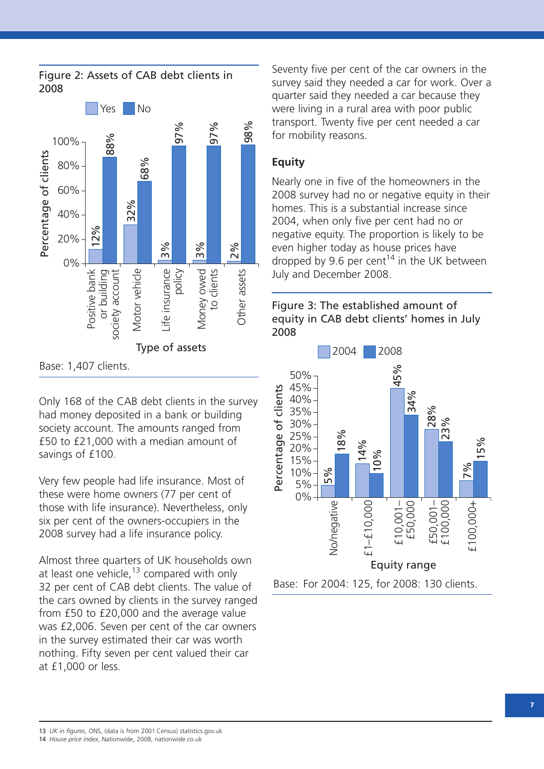

Only 168 of the CAB debt clients in the survey had money deposited in a bank or building society account. The amounts ranged from £50 to £21,000 with a median amount of savings of £100.

Very few people had life insurance. Most of these were home owners (77 per cent of those with life insurance). Nevertheless, only six per cent of the owners-occupiers in the 2008 survey had a life insurance policy.

Almost three quarters of UK households own at least one vehicle,<sup>13</sup> compared with only 32 per cent of CAB debt clients. The value of the cars owned by clients in the survey ranged from £50 to £20,000 and the average value was £2,006. Seven per cent of the car owners in the survey estimated their car was worth nothing. Fifty seven per cent valued their car at £1,000 or less.

Seventy five per cent of the car owners in the survey said they needed a car for work. Over a quarter said they needed a car because they were living in a rural area with poor public transport. Twenty five per cent needed a car for mobility reasons.

#### **Equity**

Nearly one in five of the homeowners in the 2008 survey had no or negative equity in their homes. This is a substantial increase since 2004, when only five per cent had no or negative equity. The proportion is likely to be even higher today as house prices have dropped by 9.6 per cent<sup>14</sup> in the UK between July and December 2008.

Figure 3: The established amount of equity in CAB debt clients' homes in July 2008



13 *UK in figures*, ONS, (data is from 2001 Census) statistics.gov.uk

14 *House price index*, Nationwide, 2008, nationwide.co.uk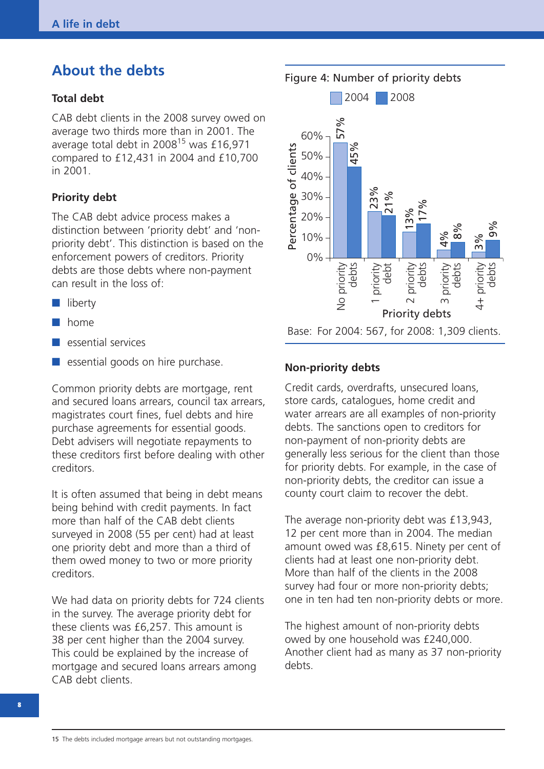## **About the debts**

#### **Total debt**

CAB debt clients in the 2008 survey owed on average two thirds more than in 2001. The average total debt in  $2008^{15}$  was £16,971 compared to £12,431 in 2004 and £10,700 in 2001.

#### **Priority debt**

The CAB debt advice process makes a distinction between 'priority debt' and 'nonpriority debt'. This distinction is based on the enforcement powers of creditors. Priority debts are those debts where non-payment can result in the loss of:

- **■** liberty
- **■** home
- **■** essential services
- essential goods on hire purchase.

Common priority debts are mortgage, rent and secured loans arrears, council tax arrears, magistrates court fines, fuel debts and hire purchase agreements for essential goods. Debt advisers will negotiate repayments to these creditors first before dealing with other creditors.

It is often assumed that being in debt means being behind with credit payments. In fact more than half of the CAB debt clients surveyed in 2008 (55 per cent) had at least one priority debt and more than a third of them owed money to two or more priority creditors.

We had data on priority debts for 724 clients in the survey. The average priority debt for these clients was £6,257. This amount is 38 per cent higher than the 2004 survey. This could be explained by the increase of mortgage and secured loans arrears among CAB debt clients.

Figure 4: Number of priority debts



#### **Non-priority debts**

Credit cards, overdrafts, unsecured loans, store cards, catalogues, home credit and water arrears are all examples of non-priority debts. The sanctions open to creditors for non-payment of non-priority debts are generally less serious for the client than those for priority debts. For example, in the case of non-priority debts, the creditor can issue a county court claim to recover the debt.

The average non-priority debt was £13,943, 12 per cent more than in 2004. The median amount owed was £8,615. Ninety per cent of clients had at least one non-priority debt. More than half of the clients in the 2008 survey had four or more non-priority debts; one in ten had ten non-priority debts or more.

The highest amount of non-priority debts owed by one household was £240,000. Another client had as many as 37 non-priority debts.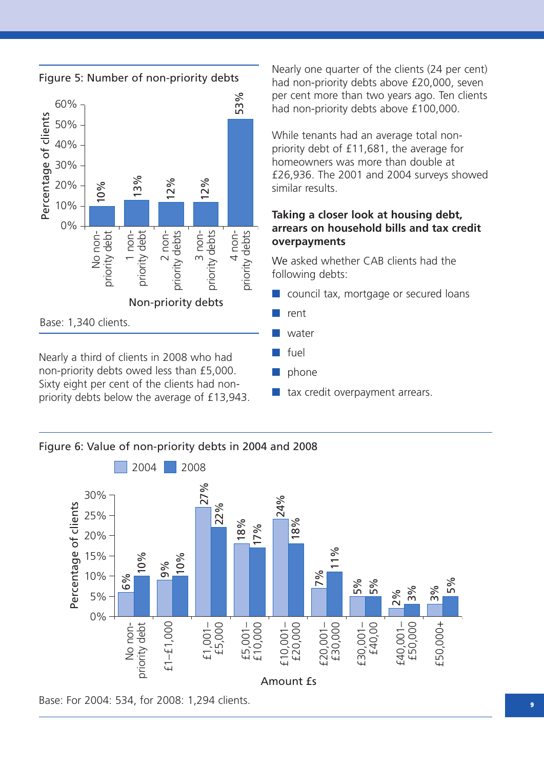

Nearly a third of clients in 2008 who had non-priority debts owed less than £5,000. Sixty eight per cent of the clients had nonpriority debts below the average of £13,943. Nearly one quarter of the clients (24 per cent) had non-priority debts above £20,000, seven per cent more than two years ago. Ten clients had non-priority debts above £100,000.

While tenants had an average total nonpriority debt of £11,681, the average for homeowners was more than double at £26,936. The 2001 and 2004 surveys showed similar results.

#### **Taking a closer look at housing debt, arrears on household bills and tax credit overpayments**

We asked whether CAB clients had the following debts:

- council tax, mortgage or secured loans
- **■** rent
- **■** water
- **■** fuel
- **■** phone
- tax credit overpayment arrears.





**9**

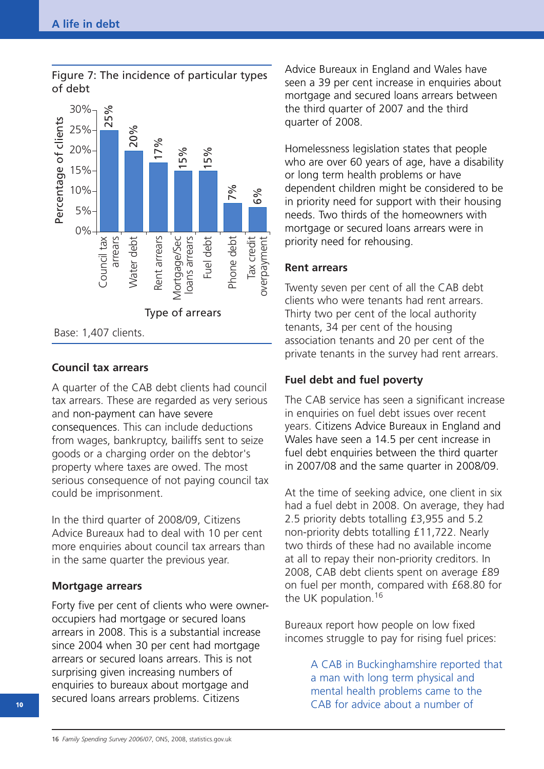

#### Figure 7: The incidence of particular types of debt

#### **Council tax arrears**

A quarter of the CAB debt clients had council tax arrears. These are regarded as very serious and non-payment can have severe consequences. This can include deductions from wages, bankruptcy, bailiffs sent to seize goods or a charging order on the debtor's property where taxes are owed. The most serious consequence of not paying council tax could be imprisonment.

In the third quarter of 2008/09, Citizens Advice Bureaux had to deal with 10 per cent more enquiries about council tax arrears than in the same quarter the previous year.

#### **Mortgage arrears**

Forty five per cent of clients who were owneroccupiers had mortgage or secured loans arrears in 2008. This is a substantial increase since 2004 when 30 per cent had mortgage arrears or secured loans arrears. This is not surprising given increasing numbers of enquiries to bureaux about mortgage and secured loans arrears problems. Citizens

Advice Bureaux in England and Wales have seen a 39 per cent increase in enquiries about mortgage and secured loans arrears between the third quarter of 2007 and the third quarter of 2008.

Homelessness legislation states that people who are over 60 years of age, have a disability or long term health problems or have dependent children might be considered to be in priority need for support with their housing needs. Two thirds of the homeowners with mortgage or secured loans arrears were in priority need for rehousing.

#### **Rent arrears**

Twenty seven per cent of all the CAB debt clients who were tenants had rent arrears. Thirty two per cent of the local authority tenants, 34 per cent of the housing association tenants and 20 per cent of the private tenants in the survey had rent arrears.

### **Fuel debt and fuel poverty**

The CAB service has seen a significant increase in enquiries on fuel debt issues over recent years. Citizens Advice Bureaux in England and Wales have seen a 14.5 per cent increase in fuel debt enquiries between the third quarter in 2007/08 and the same quarter in 2008/09.

At the time of seeking advice, one client in six had a fuel debt in 2008. On average, they had 2.5 priority debts totalling £3,955 and 5.2 non-priority debts totalling £11,722. Nearly two thirds of these had no available income at all to repay their non-priority creditors. In 2008, CAB debt clients spent on average £89 on fuel per month, compared with £68.80 for the UK population.<sup>16</sup>

Bureaux report how people on low fixed incomes struggle to pay for rising fuel prices:

> A CAB in Buckinghamshire reported that a man with long term physical and mental health problems came to the CAB for advice about a number of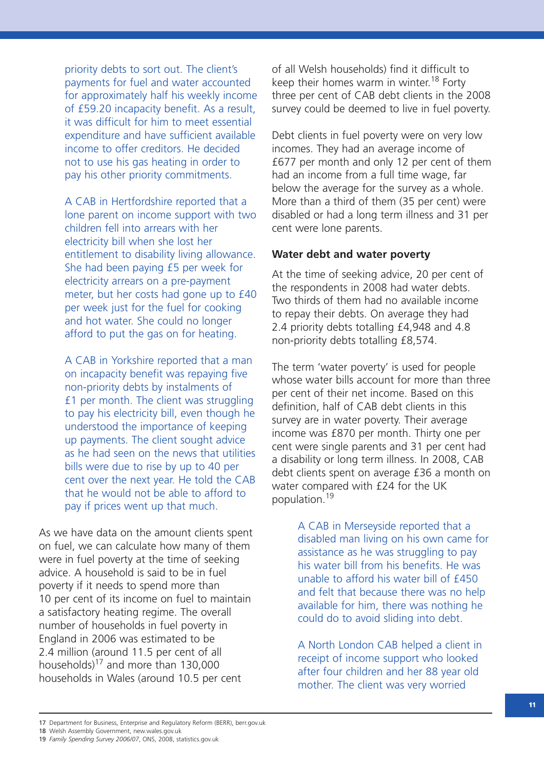priority debts to sort out. The client's payments for fuel and water accounted for approximately half his weekly income of £59.20 incapacity benefit. As a result, it was difficult for him to meet essential expenditure and have sufficient available income to offer creditors. He decided not to use his gas heating in order to pay his other priority commitments.

A CAB in Hertfordshire reported that a lone parent on income support with two children fell into arrears with her electricity bill when she lost her entitlement to disability living allowance. She had been paying £5 per week for electricity arrears on a pre-payment meter, but her costs had gone up to £40 per week just for the fuel for cooking and hot water. She could no longer afford to put the gas on for heating.

A CAB in Yorkshire reported that a man on incapacity benefit was repaying five non-priority debts by instalments of £1 per month. The client was struggling to pay his electricity bill, even though he understood the importance of keeping up payments. The client sought advice as he had seen on the news that utilities bills were due to rise by up to 40 per cent over the next year. He told the CAB that he would not be able to afford to pay if prices went up that much.

As we have data on the amount clients spent on fuel, we can calculate how many of them were in fuel poverty at the time of seeking advice. A household is said to be in fuel poverty if it needs to spend more than 10 per cent of its income on fuel to maintain a satisfactory heating regime. The overall number of households in fuel poverty in England in 2006 was estimated to be 2.4 million (around 11.5 per cent of all households)<sup>17</sup> and more than 130,000 households in Wales (around 10.5 per cent

of all Welsh households) find it difficult to keep their homes warm in winter.<sup>18</sup> Forty three per cent of CAB debt clients in the 2008 survey could be deemed to live in fuel poverty.

Debt clients in fuel poverty were on very low incomes. They had an average income of £677 per month and only 12 per cent of them had an income from a full time wage, far below the average for the survey as a whole. More than a third of them (35 per cent) were disabled or had a long term illness and 31 per cent were lone parents.

#### **Water debt and water poverty**

At the time of seeking advice, 20 per cent of the respondents in 2008 had water debts. Two thirds of them had no available income to repay their debts. On average they had 2.4 priority debts totalling £4,948 and 4.8 non-priority debts totalling £8,574.

The term 'water poverty' is used for people whose water bills account for more than three per cent of their net income. Based on this definition, half of CAB debt clients in this survey are in water poverty. Their average income was £870 per month. Thirty one per cent were single parents and 31 per cent had a disability or long term illness. In 2008, CAB debt clients spent on average £36 a month on water compared with £24 for the UK population. 19

> A CAB in Merseyside reported that a disabled man living on his own came for assistance as he was struggling to pay his water bill from his benefits. He was unable to afford his water bill of £450 and felt that because there was no help available for him, there was nothing he could do to avoid sliding into debt.

A North London CAB helped a client in receipt of income support who looked after four children and her 88 year old mother. The client was very worried

<sup>17</sup> Department for Business, Enterprise and Regulatory Reform (BERR), berr.gov.uk

<sup>18</sup> Welsh Assembly Government, new.wales.gov.uk

<sup>19</sup> *Family Spending Survey 2006/07*, ONS, 2008, statistics.gov.uk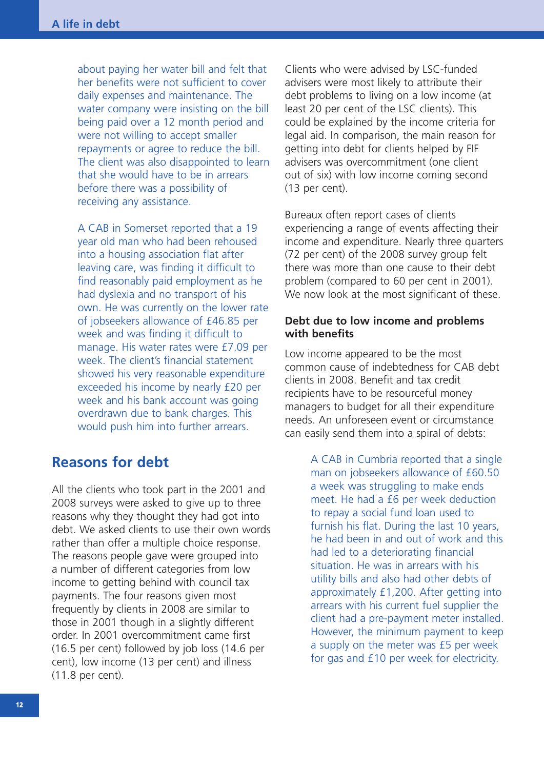about paying her water bill and felt that her benefits were not sufficient to cover daily expenses and maintenance. The water company were insisting on the bill being paid over a 12 month period and were not willing to accept smaller repayments or agree to reduce the bill. The client was also disappointed to learn that she would have to be in arrears before there was a possibility of receiving any assistance.

A CAB in Somerset reported that a 19 year old man who had been rehoused into a housing association flat after leaving care, was finding it difficult to find reasonably paid employment as he had dyslexia and no transport of his own. He was currently on the lower rate of jobseekers allowance of £46.85 per week and was finding it difficult to manage. His water rates were £7.09 per week. The client's financial statement showed his very reasonable expenditure exceeded his income by nearly £20 per week and his bank account was going overdrawn due to bank charges. This would push him into further arrears.

### **Reasons for debt**

All the clients who took part in the 2001 and 2008 surveys were asked to give up to three reasons why they thought they had got into debt. We asked clients to use their own words rather than offer a multiple choice response. The reasons people gave were grouped into a number of different categories from low income to getting behind with council tax payments. The four reasons given most frequently by clients in 2008 are similar to those in 2001 though in a slightly different order. In 2001 overcommitment came first (16.5 per cent) followed by job loss (14.6 per cent), low income (13 per cent) and illness (11.8 per cent).

Clients who were advised by LSC-funded advisers were most likely to attribute their debt problems to living on a low income (at least 20 per cent of the LSC clients). This could be explained by the income criteria for legal aid. In comparison, the main reason for getting into debt for clients helped by FIF advisers was overcommitment (one client out of six) with low income coming second (13 per cent).

Bureaux often report cases of clients experiencing a range of events affecting their income and expenditure. Nearly three quarters (72 per cent) of the 2008 survey group felt there was more than one cause to their debt problem (compared to 60 per cent in 2001). We now look at the most significant of these.

#### **Debt due to low income and problems with benefits**

Low income appeared to be the most common cause of indebtedness for CAB debt clients in 2008. Benefit and tax credit recipients have to be resourceful money managers to budget for all their expenditure needs. An unforeseen event or circumstance can easily send them into a spiral of debts:

> A CAB in Cumbria reported that a single man on jobseekers allowance of £60.50 a week was struggling to make ends meet. He had a £6 per week deduction to repay a social fund loan used to furnish his flat. During the last 10 years, he had been in and out of work and this had led to a deteriorating financial situation. He was in arrears with his utility bills and also had other debts of approximately £1,200. After getting into arrears with his current fuel supplier the client had a pre-payment meter installed. However, the minimum payment to keep a supply on the meter was £5 per week for gas and £10 per week for electricity.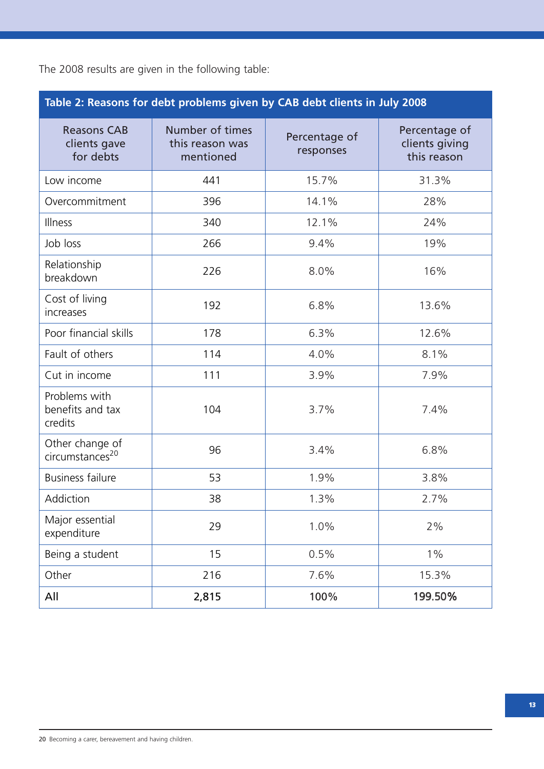|  |  |  | The 2008 results are given in the following table: |  |
|--|--|--|----------------------------------------------------|--|
|  |  |  |                                                    |  |

| Table 2: Reasons for debt problems given by CAB debt clients in July 2008 |                                                 |                            |                                                |  |  |  |  |  |
|---------------------------------------------------------------------------|-------------------------------------------------|----------------------------|------------------------------------------------|--|--|--|--|--|
| <b>Reasons CAB</b><br>clients gave<br>for debts                           | Number of times<br>this reason was<br>mentioned | Percentage of<br>responses | Percentage of<br>clients giving<br>this reason |  |  |  |  |  |
| Low income                                                                | 441                                             | 15.7%                      | 31.3%                                          |  |  |  |  |  |
| Overcommitment                                                            | 396                                             | 14.1%                      | 28%                                            |  |  |  |  |  |
| <b>Illness</b>                                                            | 340                                             | 12.1%                      | 24%                                            |  |  |  |  |  |
| Job loss                                                                  | 266                                             | 9.4%                       | 19%                                            |  |  |  |  |  |
| Relationship<br>breakdown                                                 | 226                                             | 8.0%                       | 16%                                            |  |  |  |  |  |
| Cost of living<br>increases                                               | 192                                             | 6.8%                       | 13.6%                                          |  |  |  |  |  |
| Poor financial skills                                                     | 178                                             | 6.3%                       | 12.6%                                          |  |  |  |  |  |
| Fault of others                                                           | 114                                             | 4.0%                       | 8.1%                                           |  |  |  |  |  |
| Cut in income                                                             | 111                                             | 3.9%                       | 7.9%                                           |  |  |  |  |  |
| Problems with<br>benefits and tax<br>credits                              | 104                                             | 3.7%                       | 7.4%                                           |  |  |  |  |  |
| Other change of<br>circumstances <sup>20</sup>                            | 96                                              | 3.4%                       | 6.8%                                           |  |  |  |  |  |
| <b>Business failure</b>                                                   | 53                                              | 1.9%                       | 3.8%                                           |  |  |  |  |  |
| Addiction                                                                 | 38                                              | 1.3%                       | 2.7%                                           |  |  |  |  |  |
| Major essential<br>expenditure                                            | 29                                              | 1.0%                       | 2%                                             |  |  |  |  |  |
| Being a student                                                           | 15                                              | 0.5%                       | $1\%$                                          |  |  |  |  |  |
| Other                                                                     | 216                                             | 7.6%                       | 15.3%                                          |  |  |  |  |  |
| All                                                                       | 2,815                                           | 100%                       | 199.50%                                        |  |  |  |  |  |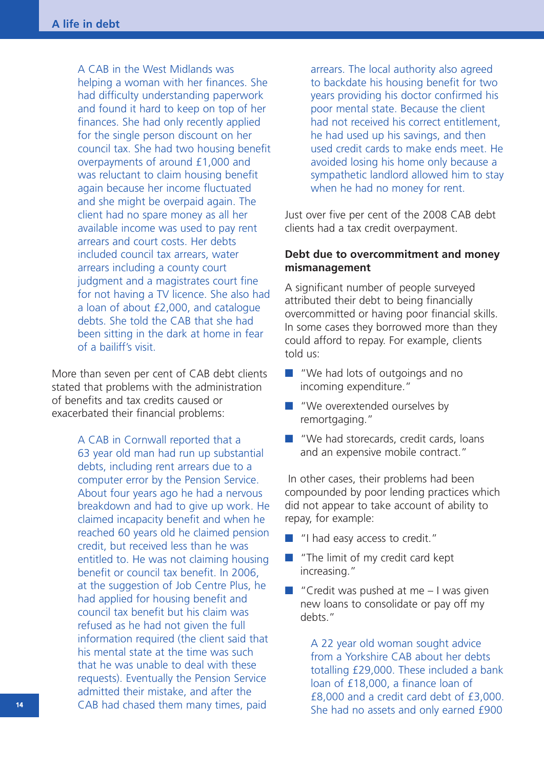A CAB in the West Midlands was helping a woman with her finances. She had difficulty understanding paperwork and found it hard to keep on top of her finances. She had only recently applied for the single person discount on her council tax. She had two housing benefit overpayments of around £1,000 and was reluctant to claim housing benefit again because her income fluctuated and she might be overpaid again. The client had no spare money as all her available income was used to pay rent arrears and court costs. Her debts included council tax arrears, water arrears including a county court judgment and a magistrates court fine for not having a TV licence. She also had a loan of about £2,000, and catalogue debts. She told the CAB that she had been sitting in the dark at home in fear of a bailiff's visit.

More than seven per cent of CAB debt clients stated that problems with the administration of benefits and tax credits caused or exacerbated their financial problems:

> A CAB in Cornwall reported that a 63 year old man had run up substantial debts, including rent arrears due to a computer error by the Pension Service. About four years ago he had a nervous breakdown and had to give up work. He claimed incapacity benefit and when he reached 60 years old he claimed pension credit, but received less than he was entitled to. He was not claiming housing benefit or council tax benefit. In 2006, at the suggestion of Job Centre Plus, he had applied for housing benefit and council tax benefit but his claim was refused as he had not given the full information required (the client said that his mental state at the time was such that he was unable to deal with these requests). Eventually the Pension Service admitted their mistake, and after the CAB had chased them many times, paid

arrears. The local authority also agreed to backdate his housing benefit for two years providing his doctor confirmed his poor mental state. Because the client had not received his correct entitlement, he had used up his savings, and then used credit cards to make ends meet. He avoided losing his home only because a sympathetic landlord allowed him to stay when he had no money for rent.

Just over five per cent of the 2008 CAB debt clients had a tax credit overpayment.

#### **Debt due to overcommitment and money mismanagement**

A significant number of people surveyed attributed their debt to being financially overcommitted or having poor financial skills. In some cases they borrowed more than they could afford to repay. For example, clients told us:

- "We had lots of outgoings and no incoming expenditure."
- "We overextended ourselves by remortgaging."
- "We had storecards, credit cards, loans and an expensive mobile contract."

In other cases, their problems had been compounded by poor lending practices which did not appear to take account of ability to repay, for example:

- **■** "I had easy access to credit."
- "The limit of my credit card kept increasing."
- "Credit was pushed at me I was given new loans to consolidate or pay off my debts."

A 22 year old woman sought advice from a Yorkshire CAB about her debts totalling £29,000. These included a bank loan of £18,000, a finance loan of £8,000 and a credit card debt of £3,000. She had no assets and only earned £900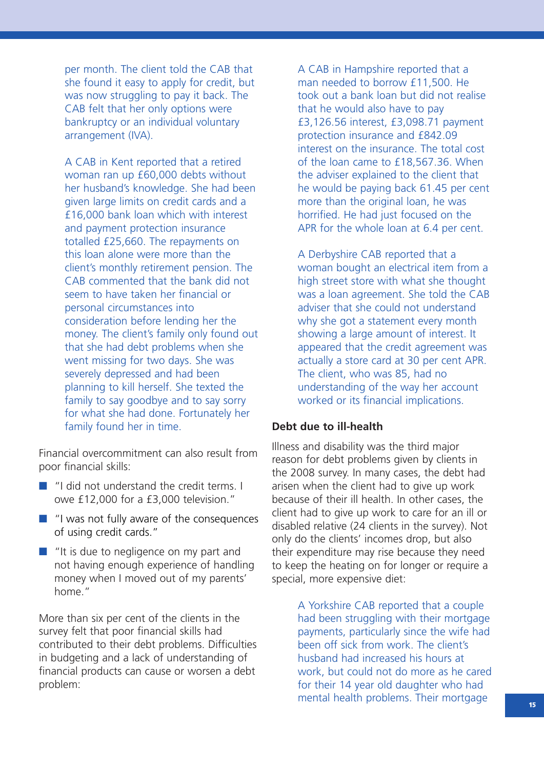per month. The client told the CAB that she found it easy to apply for credit, but was now struggling to pay it back. The CAB felt that her only options were bankruptcy or an individual voluntary arrangement (IVA).

A CAB in Kent reported that a retired woman ran up £60,000 debts without her husband's knowledge. She had been given large limits on credit cards and a £16,000 bank loan which with interest and payment protection insurance totalled £25,660. The repayments on this loan alone were more than the client's monthly retirement pension. The CAB commented that the bank did not seem to have taken her financial or personal circumstances into consideration before lending her the money. The client's family only found out that she had debt problems when she went missing for two days. She was severely depressed and had been planning to kill herself. She texted the family to say goodbye and to say sorry for what she had done. Fortunately her family found her in time.

Financial overcommitment can also result from poor financial skills:

- "I did not understand the credit terms. I owe £12,000 for a £3,000 television."
- "I was not fully aware of the consequences of using credit cards."
- "It is due to negligence on my part and not having enough experience of handling money when I moved out of my parents' home."

More than six per cent of the clients in the survey felt that poor financial skills had contributed to their debt problems. Difficulties in budgeting and a lack of understanding of financial products can cause or worsen a debt problem:

A CAB in Hampshire reported that a man needed to borrow £11,500. He took out a bank loan but did not realise that he would also have to pay £3,126.56 interest, £3,098.71 payment protection insurance and £842.09 interest on the insurance. The total cost of the loan came to £18,567.36. When the adviser explained to the client that he would be paying back 61.45 per cent more than the original loan, he was horrified. He had just focused on the APR for the whole loan at 6.4 per cent.

A Derbyshire CAB reported that a woman bought an electrical item from a high street store with what she thought was a loan agreement. She told the CAB adviser that she could not understand why she got a statement every month showing a large amount of interest. It appeared that the credit agreement was actually a store card at 30 per cent APR. The client, who was 85, had no understanding of the way her account worked or its financial implications.

#### **Debt due to ill-health**

Illness and disability was the third major reason for debt problems given by clients in the 2008 survey. In many cases, the debt had arisen when the client had to give up work because of their ill health. In other cases, the client had to give up work to care for an ill or disabled relative (24 clients in the survey). Not only do the clients' incomes drop, but also their expenditure may rise because they need to keep the heating on for longer or require a special, more expensive diet:

> A Yorkshire CAB reported that a couple had been struggling with their mortgage payments, particularly since the wife had been off sick from work. The client's husband had increased his hours at work, but could not do more as he cared for their 14 year old daughter who had mental health problems. Their mortgage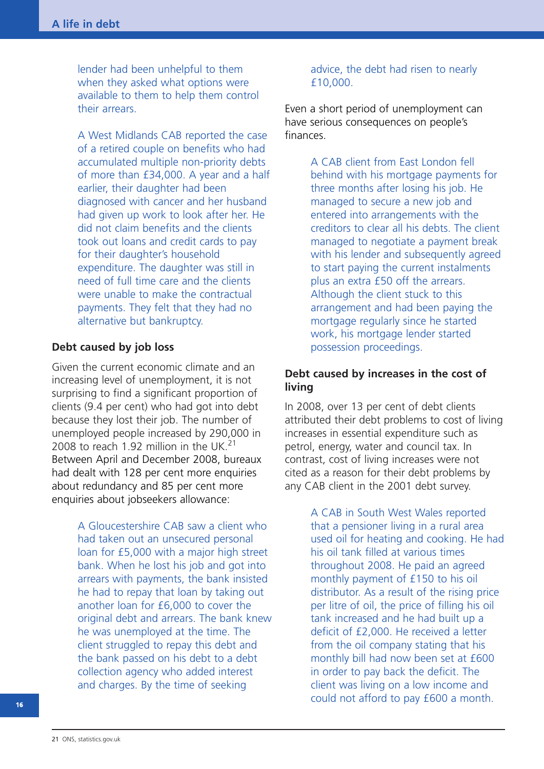lender had been unhelpful to them when they asked what options were available to them to help them control their arrears.

A West Midlands CAB reported the case of a retired couple on benefits who had accumulated multiple non-priority debts of more than £34,000. A year and a half earlier, their daughter had been diagnosed with cancer and her husband had given up work to look after her. He did not claim benefits and the clients took out loans and credit cards to pay for their daughter's household expenditure. The daughter was still in need of full time care and the clients were unable to make the contractual payments. They felt that they had no alternative but bankruptcy.

#### **Debt caused by job loss**

Given the current economic climate and an increasing level of unemployment, it is not surprising to find a significant proportion of clients (9.4 per cent) who had got into debt because they lost their job. The number of unemployed people increased by 290,000 in 2008 to reach 1.92 million in the UK.<sup>21</sup> Between April and December 2008, bureaux had dealt with 128 per cent more enquiries about redundancy and 85 per cent more enquiries about jobseekers allowance:

> A Gloucestershire CAB saw a client who had taken out an unsecured personal loan for £5,000 with a major high street bank. When he lost his job and got into arrears with payments, the bank insisted he had to repay that loan by taking out another loan for £6,000 to cover the original debt and arrears. The bank knew he was unemployed at the time. The client struggled to repay this debt and the bank passed on his debt to a debt collection agency who added interest and charges. By the time of seeking

#### advice, the debt had risen to nearly £10,000.

Even a short period of unemployment can have serious consequences on people's finances.

> A CAB client from East London fell behind with his mortgage payments for three months after losing his job. He managed to secure a new job and entered into arrangements with the creditors to clear all his debts. The client managed to negotiate a payment break with his lender and subsequently agreed to start paying the current instalments plus an extra £50 off the arrears. Although the client stuck to this arrangement and had been paying the mortgage regularly since he started work, his mortgage lender started possession proceedings.

#### **Debt caused by increases in the cost of living**

In 2008, over 13 per cent of debt clients attributed their debt problems to cost of living increases in essential expenditure such as petrol, energy, water and council tax. In contrast, cost of living increases were not cited as a reason for their debt problems by any CAB client in the 2001 debt survey.

> A CAB in South West Wales reported that a pensioner living in a rural area used oil for heating and cooking. He had his oil tank filled at various times throughout 2008. He paid an agreed monthly payment of £150 to his oil distributor. As a result of the rising price per litre of oil, the price of filling his oil tank increased and he had built up a deficit of £2,000. He received a letter from the oil company stating that his monthly bill had now been set at £600 in order to pay back the deficit. The client was living on a low income and could not afford to pay £600 a month.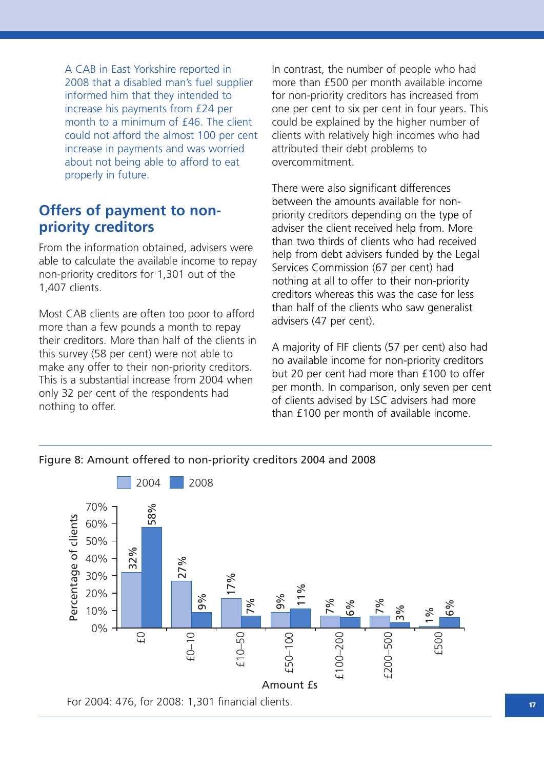A CAB in East Yorkshire reported in 2008 that a disabled man's fuel supplier informed him that they intended to increase his payments from £24 per month to a minimum of £46. The client could not afford the almost 100 per cent increase in payments and was worried about not being able to afford to eat properly in future.

### **Offers of payment to nonpriority creditors**

From the information obtained, advisers were able to calculate the available income to repay non-priority creditors for 1,301 out of the 1,407 clients.

Most CAB clients are often too poor to afford more than a few pounds a month to repay their creditors. More than half of the clients in this survey (58 per cent) were not able to make any offer to their non-priority creditors. This is a substantial increase from 2004 when only 32 per cent of the respondents had nothing to offer.

In contrast, the number of people who had more than £500 per month available income for non-priority creditors has increased from one per cent to six per cent in four years. This could be explained by the higher number of clients with relatively high incomes who had attributed their debt problems to overcommitment.

There were also significant differences between the amounts available for nonpriority creditors depending on the type of adviser the client received help from. More than two thirds of clients who had received help from debt advisers funded by the Legal Services Commission (67 per cent) had nothing at all to offer to their non-priority creditors whereas this was the case for less than half of the clients who saw generalist advisers (47 per cent).

A majority of FIF clients (57 per cent) also had no available income for non-priority creditors but 20 per cent had more than £100 to offer per month. In comparison, only seven per cent of clients advised by LSC advisers had more than £100 per month of available income.



Figure 8: Amount offered to non-priority creditors 2004 and 2008

For 2004: 476, for 2008: 1,301 financial clients.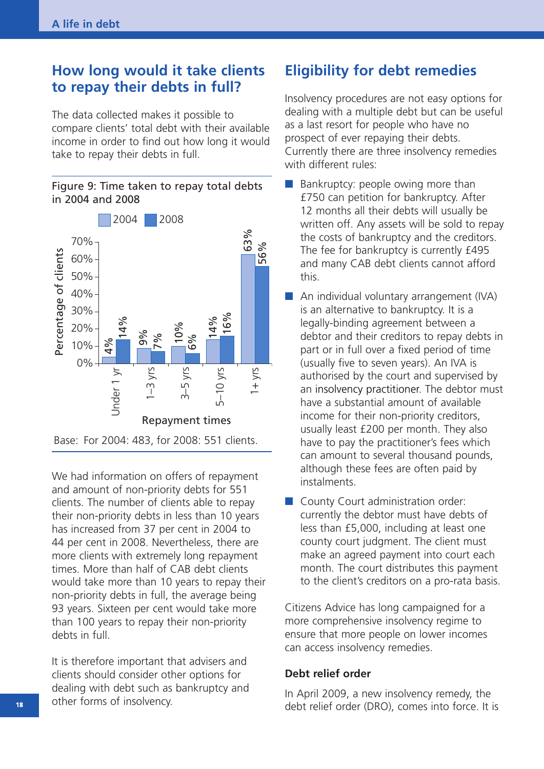### **How long would it take clients to repay their debts in full?**

The data collected makes it possible to compare clients' total debt with their available income in order to find out how long it would take to repay their debts in full.





Base: For 2004: 483, for 2008: 551 clients.

We had information on offers of repayment and amount of non-priority debts for 551 clients. The number of clients able to repay their non-priority debts in less than 10 years has increased from 37 per cent in 2004 to 44 per cent in 2008. Nevertheless, there are more clients with extremely long repayment times. More than half of CAB debt clients would take more than 10 years to repay their non-priority debts in full, the average being 93 years. Sixteen per cent would take more than 100 years to repay their non-priority debts in full.

It is therefore important that advisers and clients should consider other options for dealing with debt such as bankruptcy and other forms of insolvency.

### **Eligibility for debt remedies**

Insolvency procedures are not easy options for dealing with a multiple debt but can be useful as a last resort for people who have no prospect of ever repaying their debts. Currently there are three insolvency remedies with different rules:

- Bankruptcy: people owing more than £750 can petition for bankruptcy. After 12 months all their debts will usually be written off. Any assets will be sold to repay the costs of bankruptcy and the creditors. The fee for bankruptcy is currently £495 and many CAB debt clients cannot afford this.
- An individual voluntary arrangement (IVA) is an alternative to bankruptcy. It is a legally-binding agreement between a debtor and their creditors to repay debts in part or in full over a fixed period of time (usually five to seven years). An IVA is authorised by the court and supervised by an insolvency practitioner. The debtor must have a substantial amount of available income for their non-priority creditors, usually least £200 per month. They also have to pay the practitioner's fees which can amount to several thousand pounds, although these fees are often paid by instalments.
- County Court administration order: currently the debtor must have debts of less than £5,000, including at least one county court judgment. The client must make an agreed payment into court each month. The court distributes this payment to the client's creditors on a pro-rata basis.

Citizens Advice has long campaigned for a more comprehensive insolvency regime to ensure that more people on lower incomes can access insolvency remedies.

#### **Debt relief order**

In April 2009, a new insolvency remedy, the debt relief order (DRO), comes into force. It is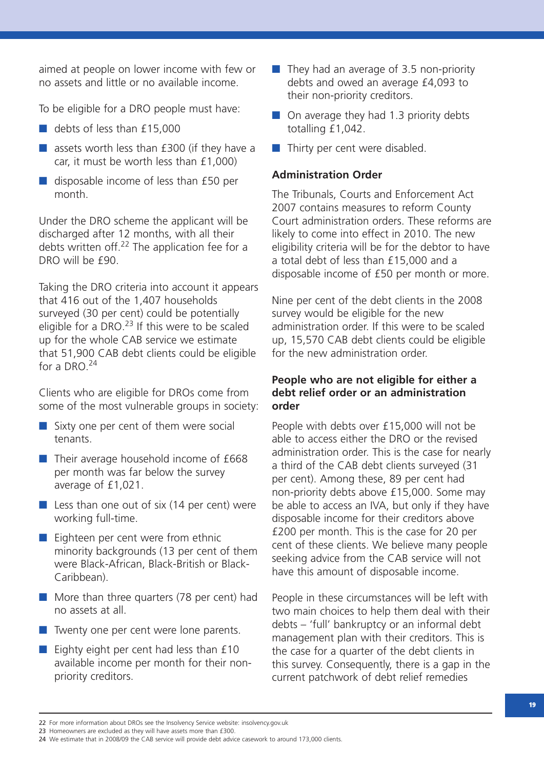aimed at people on lower income with few or no assets and little or no available income.

To be eligible for a DRO people must have:

- debts of less than £15,000
- assets worth less than £300 (if they have a car, it must be worth less than £1,000)
- disposable income of less than £50 per month.

Under the DRO scheme the applicant will be discharged after 12 months, with all their debts written off.<sup>22</sup> The application fee for a DRO will be £90.

Taking the DRO criteria into account it appears that 416 out of the 1,407 households surveyed (30 per cent) could be potentially eligible for a DRO.<sup>23</sup> If this were to be scaled up for the whole CAB service we estimate that 51,900 CAB debt clients could be eligible for a DRO.<sup>24</sup>

Clients who are eligible for DROs come from some of the most vulnerable groups in society:

- Sixty one per cent of them were social tenants.
- Their average household income of £668 per month was far below the survey average of £1,021.
- Less than one out of six (14 per cent) were working full-time.
- Eighteen per cent were from ethnic minority backgrounds (13 per cent of them were Black-African, Black-British or Black-Caribbean).
- More than three quarters (78 per cent) had no assets at all.
- Twenty one per cent were lone parents.
- Eighty eight per cent had less than £10 available income per month for their nonpriority creditors.
- They had an average of 3.5 non-priority debts and owed an average £4,093 to their non-priority creditors.
- On average they had 1.3 priority debts totalling £1,042.
- Thirty per cent were disabled.

#### **Administration Order**

The Tribunals, Courts and Enforcement Act 2007 contains measures to reform County Court administration orders. These reforms are likely to come into effect in 2010. The new eligibility criteria will be for the debtor to have a total debt of less than £15,000 and a disposable income of £50 per month or more.

Nine per cent of the debt clients in the 2008 survey would be eligible for the new administration order. If this were to be scaled up, 15,570 CAB debt clients could be eligible for the new administration order.

#### **People who are not eligible for either a debt relief order or an administration order**

People with debts over £15,000 will not be able to access either the DRO or the revised administration order. This is the case for nearly a third of the CAB debt clients surveyed (31 per cent). Among these, 89 per cent had non-priority debts above £15,000. Some may be able to access an IVA, but only if they have disposable income for their creditors above £200 per month. This is the case for 20 per cent of these clients. We believe many people seeking advice from the CAB service will not have this amount of disposable income.

People in these circumstances will be left with two main choices to help them deal with their debts – 'full' bankruptcy or an informal debt management plan with their creditors. This is the case for a quarter of the debt clients in this survey. Consequently, there is a gap in the current patchwork of debt relief remedies

<sup>22</sup> For more information about DROs see the Insolvency Service website: insolvency.gov.uk

<sup>23</sup> Homeowners are excluded as they will have assets more than £300.

<sup>24</sup> We estimate that in 2008/09 the CAB service will provide debt advice casework to around 173,000 clients.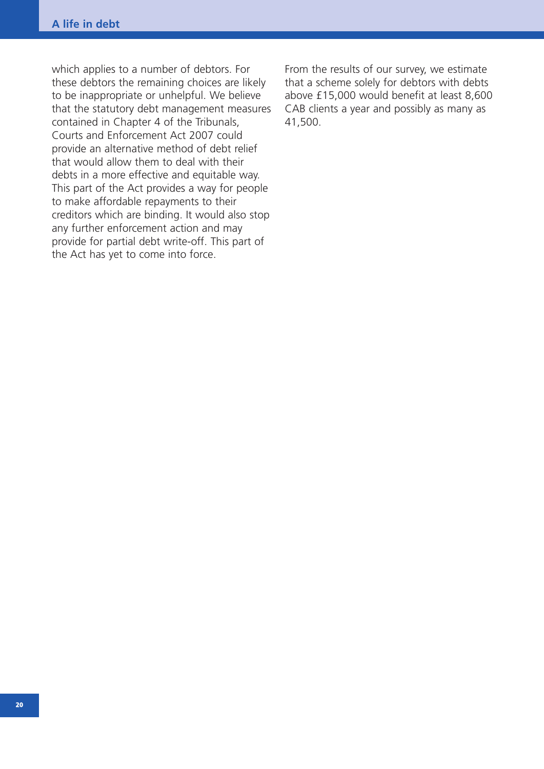which applies to a number of debtors. For these debtors the remaining choices are likely to be inappropriate or unhelpful. We believe that the statutory debt management measures contained in Chapter 4 of the Tribunals, Courts and Enforcement Act 2007 could provide an alternative method of debt relief that would allow them to deal with their debts in a more effective and equitable way. This part of the Act provides a way for people to make affordable repayments to their creditors which are binding. It would also stop any further enforcement action and may provide for partial debt write-off. This part of the Act has yet to come into force.

From the results of our survey, we estimate that a scheme solely for debtors with debts above £15,000 would benefit at least 8,600 CAB clients a year and possibly as many as 41,500.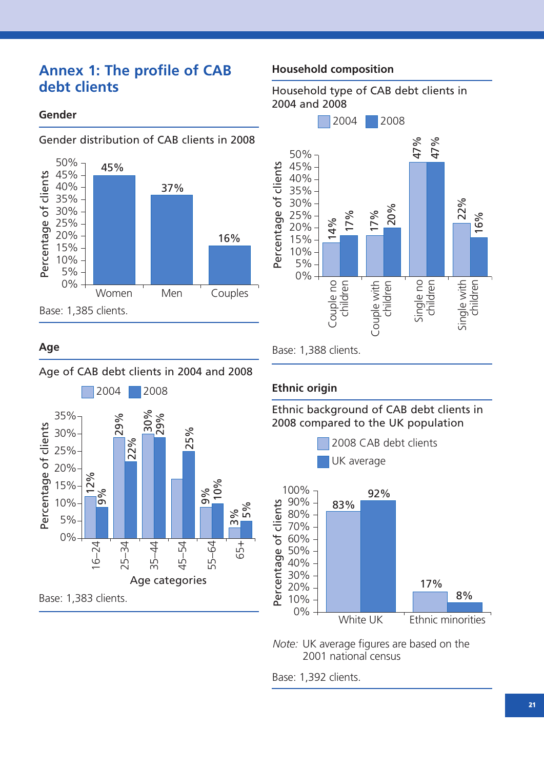### **Annex 1: The profile of CAB debt clients**

#### **Gender**



#### Gender distribution of CAB clients in 2008

### **Age**

#### Age of CAB debt clients in 2004 and 2008



#### **Household composition**





#### **Ethnic origin**

Ethnic background of CAB debt clients in 2008 compared to the UK population



*Note:* UK average figures are based on the 2001 national census

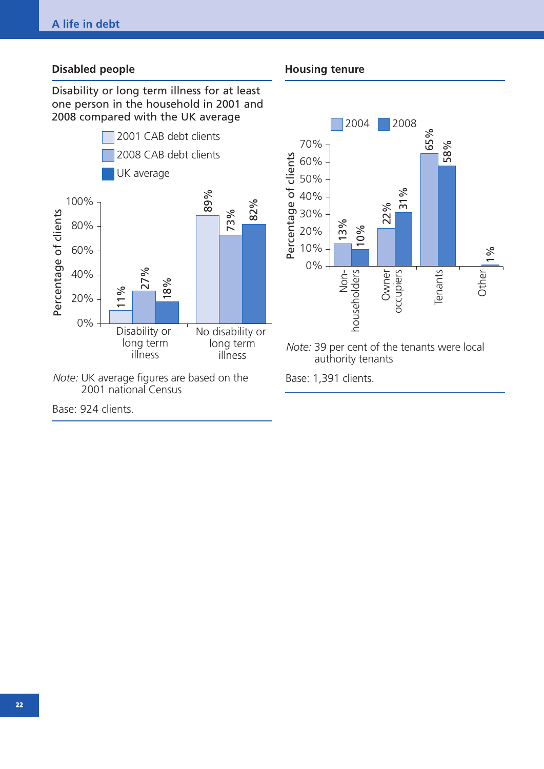#### **Disabled people**

Disability or long term illness for at least one person in the household in 2001 and 2008 compared with the UK average



*Note:* UK average figures are based on the 2001 national Census

**Housing tenure**



Base: 1,391 clients.

Base: 924 clients.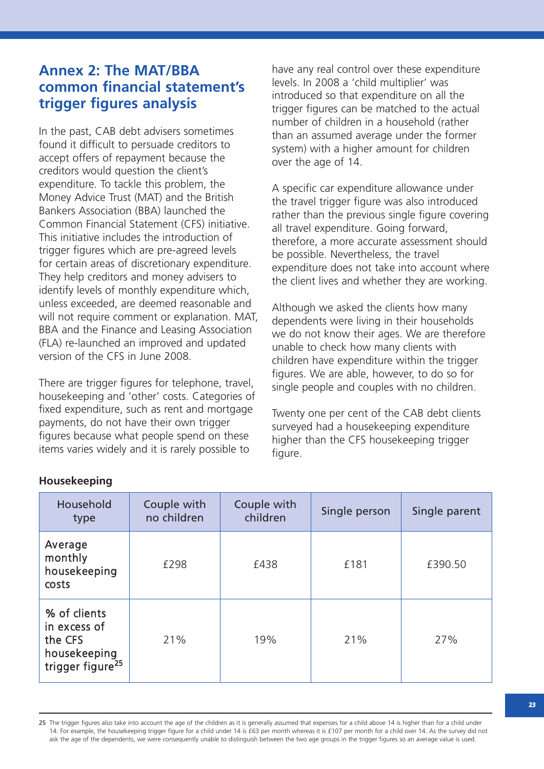### **Annex 2: The MAT/BBA common financial statement's trigger figures analysis**

In the past, CAB debt advisers sometimes found it difficult to persuade creditors to accept offers of repayment because the creditors would question the client's expenditure. To tackle this problem, the Money Advice Trust (MAT) and the British Bankers Association (BBA) launched the Common Financial Statement (CFS) initiative. This initiative includes the introduction of trigger figures which are pre-agreed levels for certain areas of discretionary expenditure. They help creditors and money advisers to identify levels of monthly expenditure which, unless exceeded, are deemed reasonable and will not require comment or explanation. MAT, BBA and the Finance and Leasing Association (FLA) re-launched an improved and updated version of the CFS in June 2008.

There are trigger figures for telephone, travel, housekeeping and 'other' costs. Categories of fixed expenditure, such as rent and mortgage payments, do not have their own trigger figures because what people spend on these items varies widely and it is rarely possible to

have any real control over these expenditure levels. In 2008 a 'child multiplier' was introduced so that expenditure on all the trigger figures can be matched to the actual number of children in a household (rather than an assumed average under the former system) with a higher amount for children over the age of 14.

A specific car expenditure allowance under the travel trigger figure was also introduced rather than the previous single figure covering all travel expenditure. Going forward, therefore, a more accurate assessment should be possible. Nevertheless, the travel expenditure does not take into account where the client lives and whether they are working.

Although we asked the clients how many dependents were living in their households we do not know their ages. We are therefore unable to check how many clients with children have expenditure within the trigger figures. We are able, however, to do so for single people and couples with no children.

Twenty one per cent of the CAB debt clients surveyed had a housekeeping expenditure higher than the CFS housekeeping trigger figure.

| Household<br>type                                                                       | Couple with<br>no children | Couple with<br>children | Single person | Single parent |
|-----------------------------------------------------------------------------------------|----------------------------|-------------------------|---------------|---------------|
| Average<br>monthly<br>housekeeping<br>costs                                             | £298                       | £438                    | £181          | £390.50       |
| % of clients<br>in excess of<br>the CFS<br>housekeeping<br>trigger figure <sup>25</sup> | 21%                        | 19%                     | 21%           | 27%           |

#### **Housekeeping**

<sup>25</sup> The trigger figures also take into account the age of the children as it is generally assumed that expenses for a child above 14 is higher than for a child under 14. For example, the housekeeping trigger figure for a child under 14 is £63 per month whereas it is £107 per month for a child over 14. As the survey did not ask the age of the dependents, we were consequently unable to distinguish between the two age groups in the trigger figures so an average value is used.